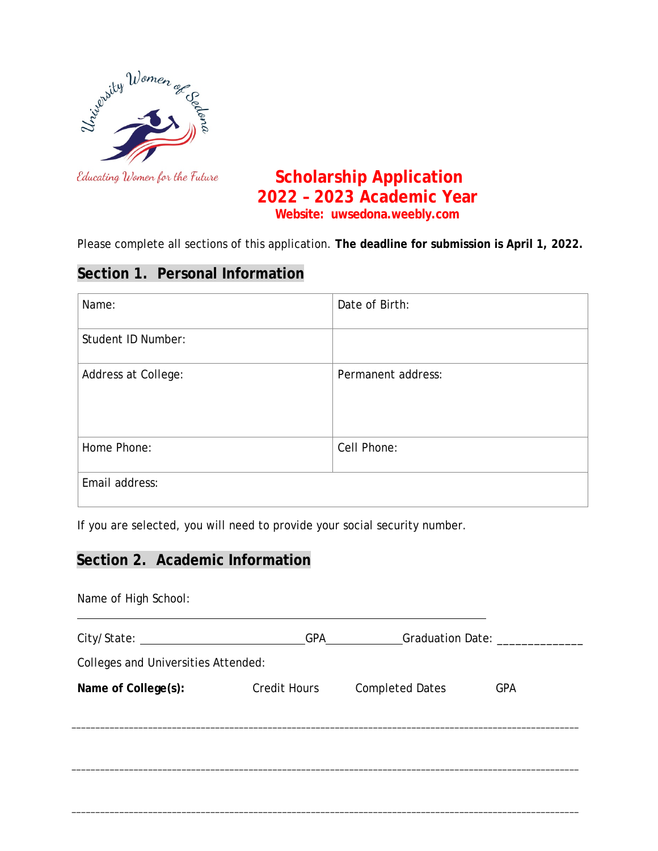

# Educating Women for the Future **Scholarship Application 2022 – 2023 Academic Year Website: uwsedona.weebly.com**

Please complete all sections of this application. **The deadline for submission is April 1, 2022.**

## **Section 1. Personal Information**

| Name:               | Date of Birth:     |
|---------------------|--------------------|
| Student ID Number:  |                    |
| Address at College: | Permanent address: |
| Home Phone:         | Cell Phone:        |
| Email address:      |                    |

If you are selected, you will need to provide your social security number.

## **Section 2. Academic Information**

| Name of High School:                |                     |                        |            |
|-------------------------------------|---------------------|------------------------|------------|
| City/State: 2008 2014               | <b>GPA</b>          | Graduation Date:       |            |
| Colleges and Universities Attended: |                     |                        |            |
| Name of College(s):                 | <b>Credit Hours</b> | <b>Completed Dates</b> | <b>GPA</b> |
|                                     |                     |                        |            |
|                                     |                     |                        |            |
|                                     |                     |                        |            |
|                                     |                     |                        |            |

\_\_\_\_\_\_\_\_\_\_\_\_\_\_\_\_\_\_\_\_\_\_\_\_\_\_\_\_\_\_\_\_\_\_\_\_\_\_\_\_\_\_\_\_\_\_\_\_\_\_\_\_\_\_\_\_\_\_\_\_\_\_\_\_\_\_\_\_\_\_\_\_\_\_\_\_\_\_\_\_\_\_\_\_\_\_\_\_\_\_\_\_\_\_\_\_\_\_\_\_\_\_\_\_\_\_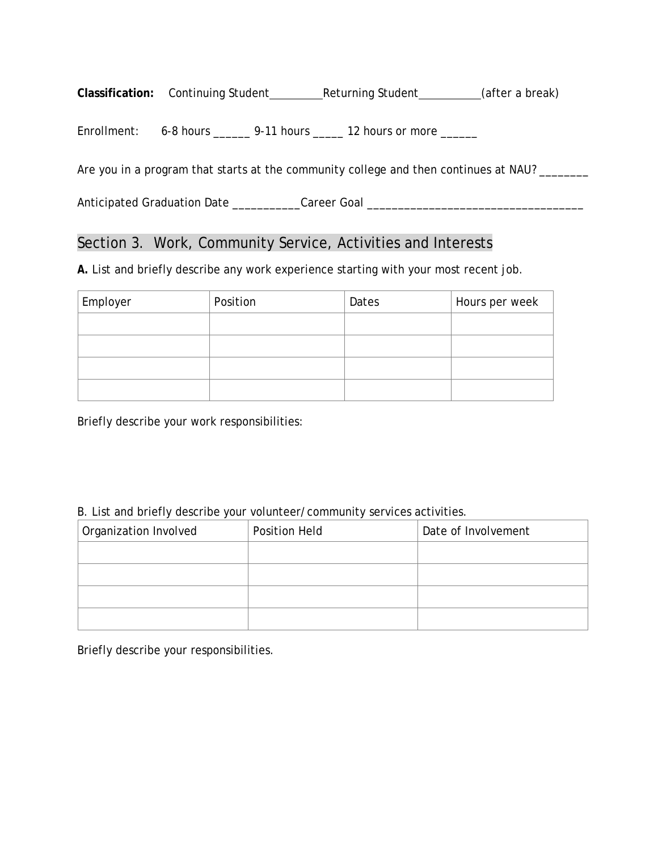Classification: Continuing Student\_\_\_\_\_\_\_\_\_\_\_Returning Student\_\_\_\_\_\_\_\_\_\_(after a break)

Enrollment: 6-8 hours \_\_\_\_\_\_ 9-11 hours \_\_\_\_\_ 12 hours or more \_\_\_\_\_\_

Are you in a program that starts at the community college and then continues at NAU? \_\_\_\_\_\_\_

Anticipated Graduation Date \_\_\_\_\_\_\_\_\_\_\_\_Career Goal \_\_\_\_\_\_\_\_\_\_\_\_\_\_\_\_\_\_\_\_\_\_\_\_\_\_\_\_

### Section 3. Work, Community Service, Activities and Interests

*A.* List and briefly describe any work experience starting with your most recent job.

| Employer | Position | Dates | Hours per week |
|----------|----------|-------|----------------|
|          |          |       |                |
|          |          |       |                |
|          |          |       |                |
|          |          |       |                |

Briefly describe your work responsibilities:

#### B. List and briefly describe your volunteer/community services activities.

| Organization Involved | <b>Position Held</b> | Date of Involvement |
|-----------------------|----------------------|---------------------|
|                       |                      |                     |
|                       |                      |                     |
|                       |                      |                     |
|                       |                      |                     |

Briefly describe your responsibilities.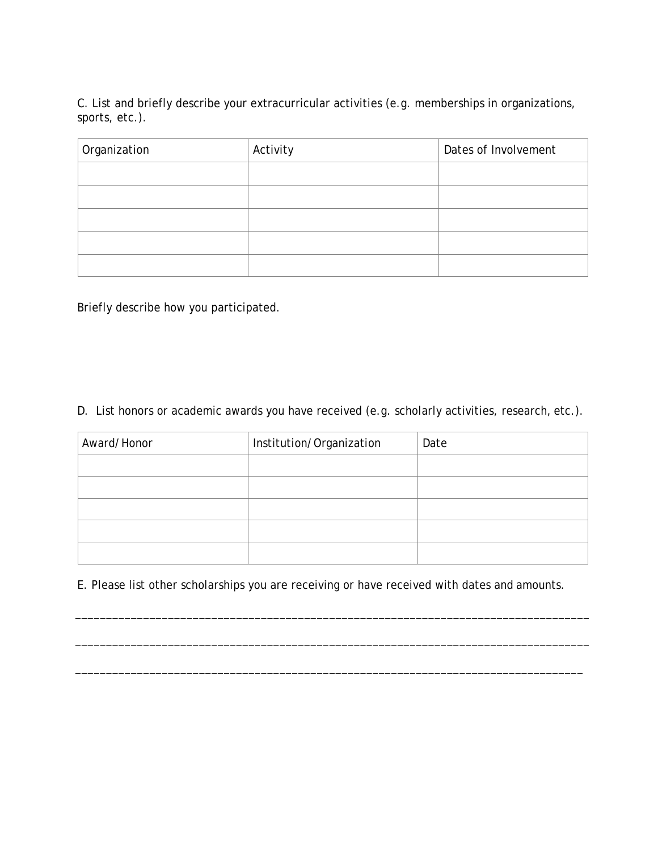C. List and briefly describe your extracurricular activities (e.g. memberships in organizations, sports, etc.).

| Organization | Activity | Dates of Involvement |
|--------------|----------|----------------------|
|              |          |                      |
|              |          |                      |
|              |          |                      |
|              |          |                      |
|              |          |                      |

Briefly describe how you participated.

D. List honors or academic awards you have received (e.g. scholarly activities, research, etc.).

| Award/Honor | Institution/Organization | Date |
|-------------|--------------------------|------|
|             |                          |      |
|             |                          |      |
|             |                          |      |
|             |                          |      |
|             |                          |      |

E. Please list other scholarships you are receiving or have received with dates and amounts.

\_\_\_\_\_\_\_\_\_\_\_\_\_\_\_\_\_\_\_\_\_\_\_\_\_\_\_\_\_\_\_\_\_\_\_\_\_\_\_\_\_\_\_\_\_\_\_\_\_\_\_\_\_\_\_\_\_\_\_\_\_\_\_\_\_\_\_\_\_\_\_\_\_\_\_\_\_\_\_\_\_\_\_

\_\_\_\_\_\_\_\_\_\_\_\_\_\_\_\_\_\_\_\_\_\_\_\_\_\_\_\_\_\_\_\_\_\_\_\_\_\_\_\_\_\_\_\_\_\_\_\_\_\_\_\_\_\_\_\_\_\_\_\_\_\_\_\_\_\_\_\_\_\_\_\_\_\_\_\_\_\_\_\_\_\_